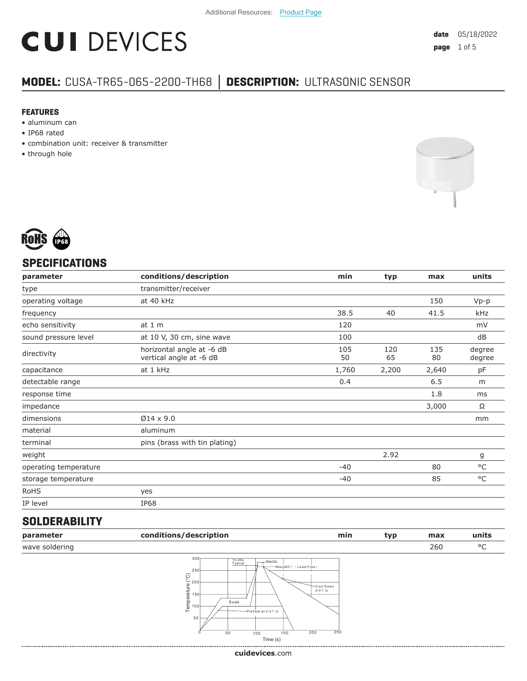# **CUI DEVICES**

### **MODEL:** CUSA-TR65-065-2200-TH68 **│ DESCRIPTION:** ULTRASONIC SENSOR

#### **FEATURES**

- aluminum can
- IP68 rated
- combination unit: receiver & transmitter
- through hole





#### **SPECIFICATIONS**

| 150<br>41.5 | $Vp-p$           |
|-------------|------------------|
|             |                  |
|             |                  |
|             | kHz              |
|             | mV               |
|             | dB               |
| 135<br>80   | degree<br>degree |
| 2,640       | pF               |
| 6.5         | m                |
| 1.8         | ms               |
| 3,000       | Ω                |
|             | mm               |
|             |                  |
|             |                  |
|             | g                |
| 80          | °C               |
| 85          | °C               |
|             |                  |
|             |                  |
|             |                  |

#### **SOLDERABILITY**

| parameter      | conditions/description                                                                                                                                                                               | min                                                 | typ | max | units |
|----------------|------------------------------------------------------------------------------------------------------------------------------------------------------------------------------------------------------|-----------------------------------------------------|-----|-----|-------|
| wave soldering |                                                                                                                                                                                                      |                                                     |     | 260 | °C    |
|                | 300 <sub>1</sub><br>15-25s<br>Typical<br>Max10s<br>-Max260°C (Lead-Free)<br>250<br>$\frac{\odot}{\odot}$ 200<br>$L = 100$<br>Soak<br>Preheat at 2-3 °C /s<br>⊢<br>50<br>150<br>50<br>100<br>Time (s) | Cool Down<br>$2-4$ °C /s<br>$\overline{250}$<br>200 |     |     |       |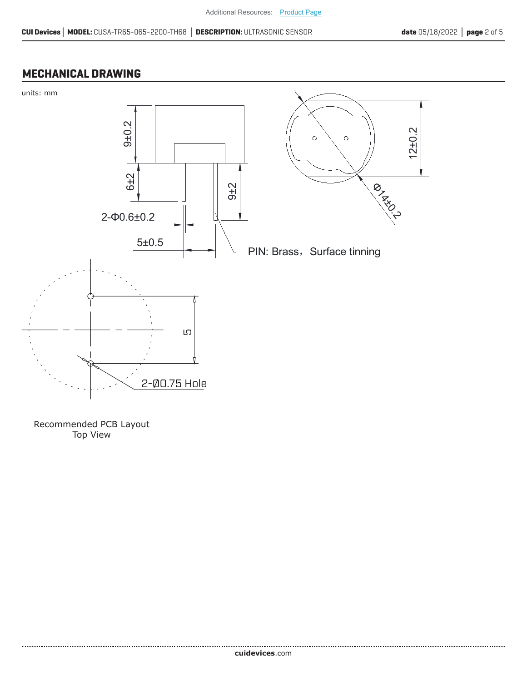#### **MECHANICAL DRAWING**



Recommended PCB Layout Top View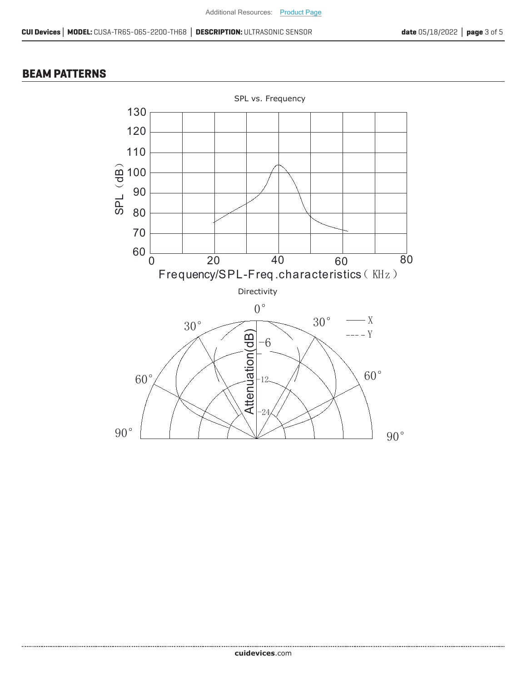#### **BEAM PATTERNS**

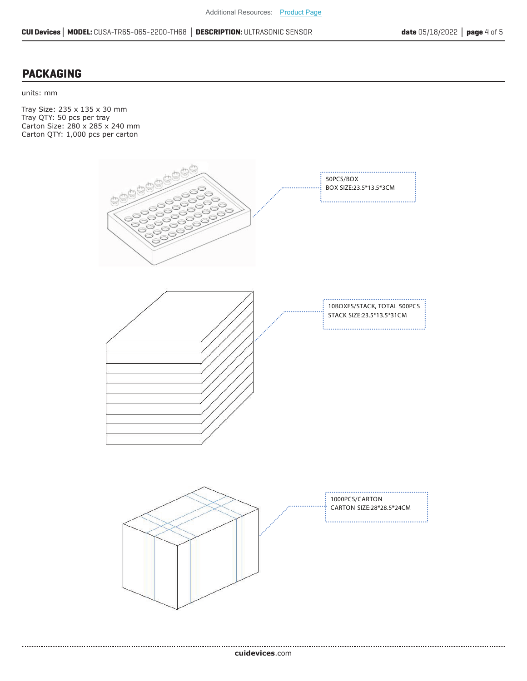#### **PACKAGING**

units: mm

Tray Size: 235 x 135 x 30 mm Tray QTY: 50 pcs per tray Carton Size: 280 x 285 x 240 mm Carton QTY: 1,000 pcs per carton